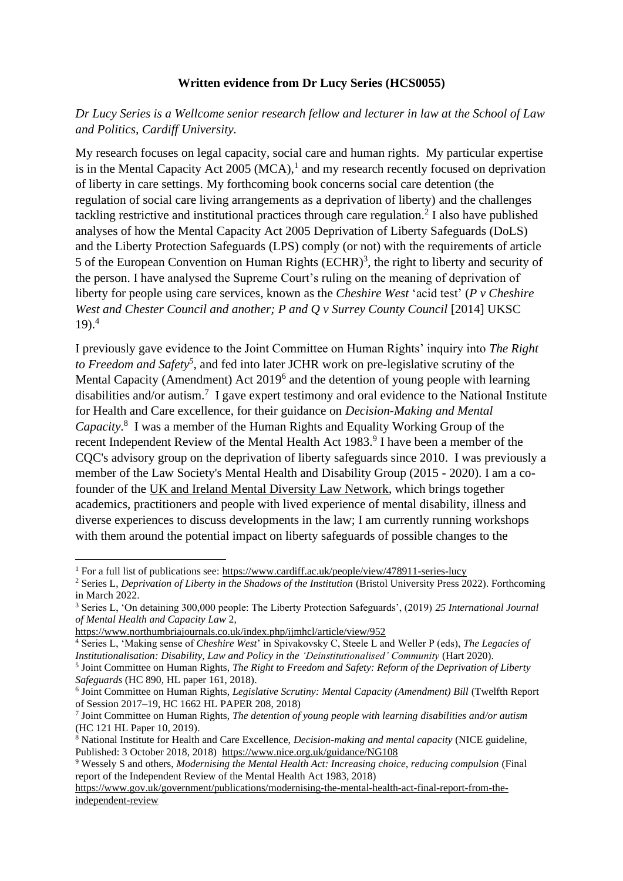#### <span id="page-0-1"></span><span id="page-0-0"></span>**Written evidence from Dr Lucy Series (HCS0055)**

*Dr Lucy Series is a Wellcome senior research fellow and lecturer in law at the School of Law and Politics, Cardiff University.* 

My research focuses on legal capacity, social care and human rights. My particular expertise is in the Mental Capacity Act  $2005$  (MCA),<sup>1</sup> and my research recently focused on deprivation of liberty in care settings. My forthcoming book concerns social care detention (the regulation of social care living arrangements as a deprivation of liberty) and the challenges tackling restrictive and institutional practices through care regulation. 2 I also have published analyses of how the Mental Capacity Act 2005 Deprivation of Liberty Safeguards (DoLS) and the Liberty Protection Safeguards (LPS) comply (or not) with the requirements of article 5 of the European Convention on Human Rights  $(ECHR)^3$ , the right to liberty and security of the person. I have analysed the Supreme Court's ruling on the meaning of deprivation of liberty for people using care services, known as the *Cheshire West* 'acid test' (*P v Cheshire West and Chester Council and another; P and Q v Surrey County Council* [2014] UKSC 19). 4

I previously gave evidence to the Joint Committee on Human Rights' inquiry into *The Right*  to Freedom and Safety<sup>5</sup>, and fed into later JCHR work on pre-legislative scrutiny of the Mental Capacity (Amendment) Act 2019<sup>6</sup> and the detention of young people with learning disabilities and/or autism.<sup>7</sup> I gave expert testimony and oral evidence to the National Institute for Health and Care excellence, for their guidance on *Decision-Making and Mental Capacity*. 8 I was a member of the Human Rights and Equality Working Group of the recent Independent Review of the Mental Health Act 1983.<sup>9</sup> I have been a member of the CQC's advisory group on the deprivation of liberty safeguards since 2010. I was previously a member of the Law Society's Mental Health and Disability Group (2015 - 2020). I am a cofounder of the [UK and Ireland Mental Diversity Law Network,](https://institutemh.org.uk/mentaldiversitylawnetwork) which brings together academics, practitioners and people with lived experience of mental disability, illness and diverse experiences to discuss developments in the law; I am currently running workshops with them around the potential impact on liberty safeguards of possible changes to the

<sup>&</sup>lt;sup>1</sup> For a full list of publications see:<https://www.cardiff.ac.uk/people/view/478911-series-lucy>

<sup>&</sup>lt;sup>2</sup> Series L, *Deprivation of Liberty in the Shadows of the Institution* (Bristol University Press 2022). Forthcoming in March 2022.

<sup>3</sup> Series L, 'On detaining 300,000 people: The Liberty Protection Safeguards', (2019) *25 International Journal of Mental Health and Capacity Law* 2,

<https://www.northumbriajournals.co.uk/index.php/ijmhcl/article/view/952>

<sup>4</sup> Series L, 'Making sense of *Cheshire West*' in Spivakovsky C, Steele L and Weller P (eds), *The Legacies of Institutionalisation: Disability, Law and Policy in the 'Deinstitutionalised' Community* (Hart 2020).

<sup>5</sup> Joint Committee on Human Rights, *The Right to Freedom and Safety: Reform of the Deprivation of Liberty Safeguards* (HC 890, HL paper 161, 2018).

<sup>6</sup> Joint Committee on Human Rights, *Legislative Scrutiny: Mental Capacity (Amendment) Bill* (Twelfth Report of Session 2017–19, HC 1662 HL PAPER 208, 2018)

<sup>7</sup> Joint Committee on Human Rights, *The detention of young people with learning disabilities and/or autism* (HC 121 HL Paper 10, 2019).

<sup>8</sup> National Institute for Health and Care Excellence, *Decision-making and mental capacity* (NICE guideline, Published: 3 October 2018, 2018) <https://www.nice.org.uk/guidance/NG108>

<sup>9</sup> Wessely S and others, *Modernising the Mental Health Act: Increasing choice, reducing compulsion* (Final report of the Independent Review of the Mental Health Act 1983, 2018)

[https://www.gov.uk/government/publications/modernising-the-mental-health-act-final-report-from-the](https://www.gov.uk/government/publications/modernising-the-mental-health-act-final-report-from-the-independent-review)[independent-review](https://www.gov.uk/government/publications/modernising-the-mental-health-act-final-report-from-the-independent-review)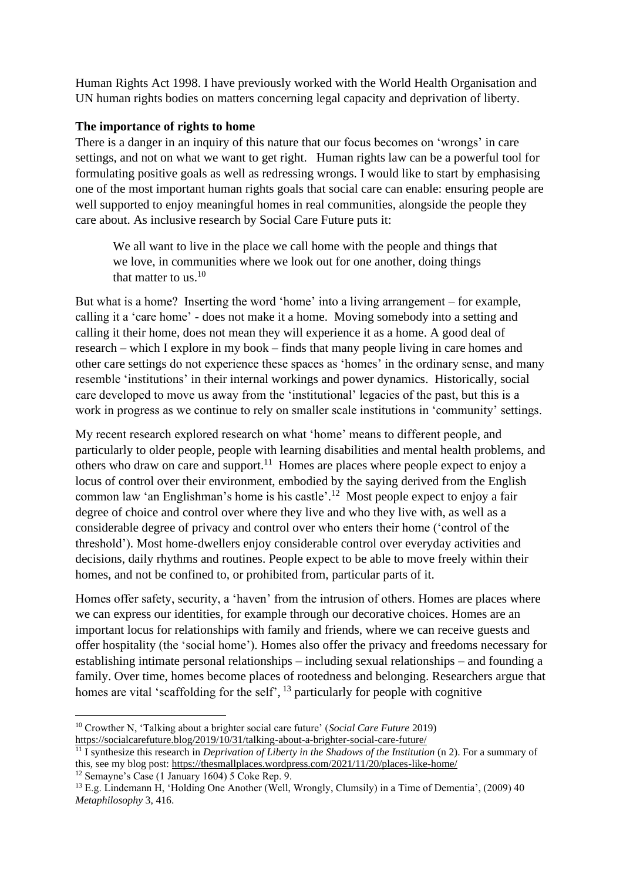Human Rights Act 1998. I have previously worked with the World Health Organisation and UN human rights bodies on matters concerning legal capacity and deprivation of liberty.

#### **The importance of rights to home**

There is a danger in an inquiry of this nature that our focus becomes on 'wrongs' in care settings, and not on what we want to get right. Human rights law can be a powerful tool for formulating positive goals as well as redressing wrongs. I would like to start by emphasising one of the most important human rights goals that social care can enable: ensuring people are well supported to enjoy meaningful homes in real communities, alongside the people they care about. As inclusive research by Social Care Future puts it:

We all want to live in the place we call home with the people and things that we love, in communities where we look out for one another, doing things that matter to us. $10$ 

But what is a home? Inserting the word 'home' into a living arrangement – for example, calling it a 'care home' - does not make it a home. Moving somebody into a setting and calling it their home, does not mean they will experience it as a home. A good deal of research – which I explore in my book – finds that many people living in care homes and other care settings do not experience these spaces as 'homes' in the ordinary sense, and many resemble 'institutions' in their internal workings and power dynamics. Historically, social care developed to move us away from the 'institutional' legacies of the past, but this is a work in progress as we continue to rely on smaller scale institutions in 'community' settings.

My recent research explored research on what 'home' means to different people, and particularly to older people, people with learning disabilities and mental health problems, and others who draw on care and support.<sup>11</sup> Homes are places where people expect to enjoy a locus of control over their environment, embodied by the saying derived from the English common law 'an Englishman's home is his castle'.<sup>12</sup> Most people expect to enjoy a fair degree of choice and control over where they live and who they live with, as well as a considerable degree of privacy and control over who enters their home ('control of the threshold'). Most home-dwellers enjoy considerable control over everyday activities and decisions, daily rhythms and routines. People expect to be able to move freely within their homes, and not be confined to, or prohibited from, particular parts of it.

Homes offer safety, security, a 'haven' from the intrusion of others. Homes are places where we can express our identities, for example through our decorative choices. Homes are an important locus for relationships with family and friends, where we can receive guests and offer hospitality (the 'social home'). Homes also offer the privacy and freedoms necessary for establishing intimate personal relationships – including sexual relationships – and founding a family. Over time, homes become places of rootedness and belonging. Researchers argue that homes are vital 'scaffolding for the self', <sup>13</sup> particularly for people with cognitive

 $12$  Semayne's Case (1 January 1604) 5 Coke Rep. 9.

<sup>10</sup> Crowther N, 'Talking about a brighter social care future' (*Social Care Future* 2019) <https://socialcarefuture.blog/2019/10/31/talking-about-a-brighter-social-care-future/>

 $\frac{11}{11}$  I synthesize this research in *Deprivation of Liberty in the Shadows of the Institution* (n [2\)](#page-0-0). For a summary of this, see my blog post:<https://thesmallplaces.wordpress.com/2021/11/20/places-like-home/>

<sup>&</sup>lt;sup>13</sup> E.g. Lindemann H, 'Holding One Another (Well, Wrongly, Clumsily) in a Time of Dementia', (2009) 40 *Metaphilosophy* 3, 416.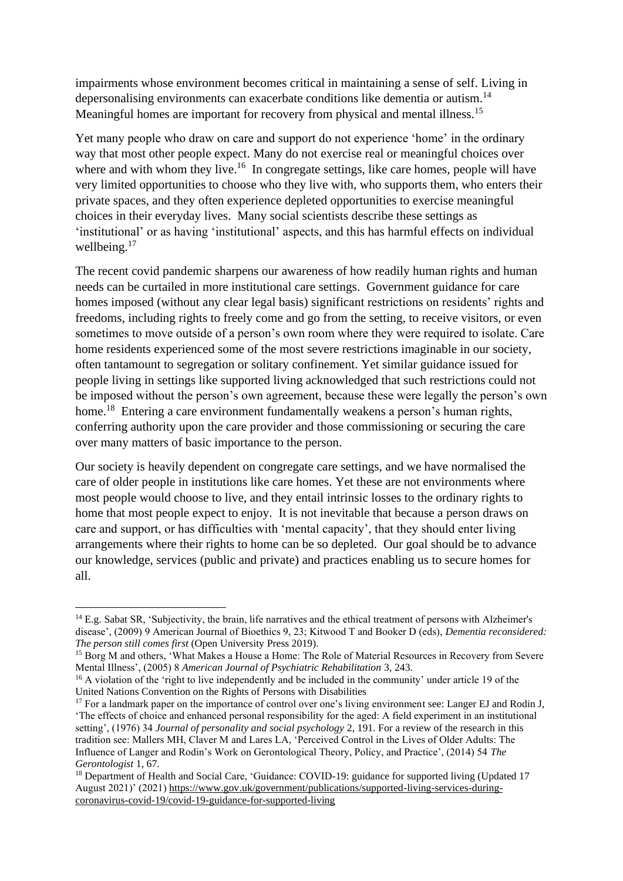impairments whose environment becomes critical in maintaining a sense of self. Living in depersonalising environments can exacerbate conditions like dementia or autism.<sup>14</sup> Meaningful homes are important for recovery from physical and mental illness.<sup>15</sup>

Yet many people who draw on care and support do not experience 'home' in the ordinary way that most other people expect. Many do not exercise real or meaningful choices over where and with whom they live.<sup>16</sup> In congregate settings, like care homes, people will have very limited opportunities to choose who they live with, who supports them, who enters their private spaces, and they often experience depleted opportunities to exercise meaningful choices in their everyday lives. Many social scientists describe these settings as 'institutional' or as having 'institutional' aspects, and this has harmful effects on individual wellbeing. $17$ 

The recent covid pandemic sharpens our awareness of how readily human rights and human needs can be curtailed in more institutional care settings. Government guidance for care homes imposed (without any clear legal basis) significant restrictions on residents' rights and freedoms, including rights to freely come and go from the setting, to receive visitors, or even sometimes to move outside of a person's own room where they were required to isolate. Care home residents experienced some of the most severe restrictions imaginable in our society, often tantamount to segregation or solitary confinement. Yet similar guidance issued for people living in settings like supported living acknowledged that such restrictions could not be imposed without the person's own agreement, because these were legally the person's own home.<sup>18</sup> Entering a care environment fundamentally weakens a person's human rights, conferring authority upon the care provider and those commissioning or securing the care over many matters of basic importance to the person.

Our society is heavily dependent on congregate care settings, and we have normalised the care of older people in institutions like care homes. Yet these are not environments where most people would choose to live, and they entail intrinsic losses to the ordinary rights to home that most people expect to enjoy. It is not inevitable that because a person draws on care and support, or has difficulties with 'mental capacity', that they should enter living arrangements where their rights to home can be so depleted. Our goal should be to advance our knowledge, services (public and private) and practices enabling us to secure homes for all.

<sup>&</sup>lt;sup>14</sup> E.g. Sabat SR, 'Subjectivity, the brain, life narratives and the ethical treatment of persons with Alzheimer's disease', (2009) 9 American Journal of Bioethics 9, 23; Kitwood T and Booker D (eds), *Dementia reconsidered: The person still comes first* (Open University Press 2019).

<sup>&</sup>lt;sup>15</sup> Borg M and others, 'What Makes a House a Home: The Role of Material Resources in Recovery from Severe Mental Illness', (2005) 8 *American Journal of Psychiatric Rehabilitation* 3, 243.

<sup>&</sup>lt;sup>16</sup> A violation of the 'right to live independently and be included in the community' under article 19 of the United Nations Convention on the Rights of Persons with Disabilities

<sup>&</sup>lt;sup>17</sup> For a landmark paper on the importance of control over one's living environment see: Langer EJ and Rodin J, 'The effects of choice and enhanced personal responsibility for the aged: A field experiment in an institutional setting', (1976) 34 *Journal of personality and social psychology* 2, 191. For a review of the research in this tradition see: Mallers MH, Claver M and Lares LA, 'Perceived Control in the Lives of Older Adults: The Influence of Langer and Rodin's Work on Gerontological Theory, Policy, and Practice', (2014) 54 *The Gerontologist* 1, 67.

<sup>&</sup>lt;sup>18</sup> Department of Health and Social Care, 'Guidance: COVID-19: guidance for supported living (Updated 17 August 2021)' (2021[\) https://www.gov.uk/government/publications/supported-living-services-during](https://www.gov.uk/government/publications/supported-living-services-during-coronavirus-covid-19/covid-19-guidance-for-supported-living)[coronavirus-covid-19/covid-19-guidance-for-supported-living](https://www.gov.uk/government/publications/supported-living-services-during-coronavirus-covid-19/covid-19-guidance-for-supported-living)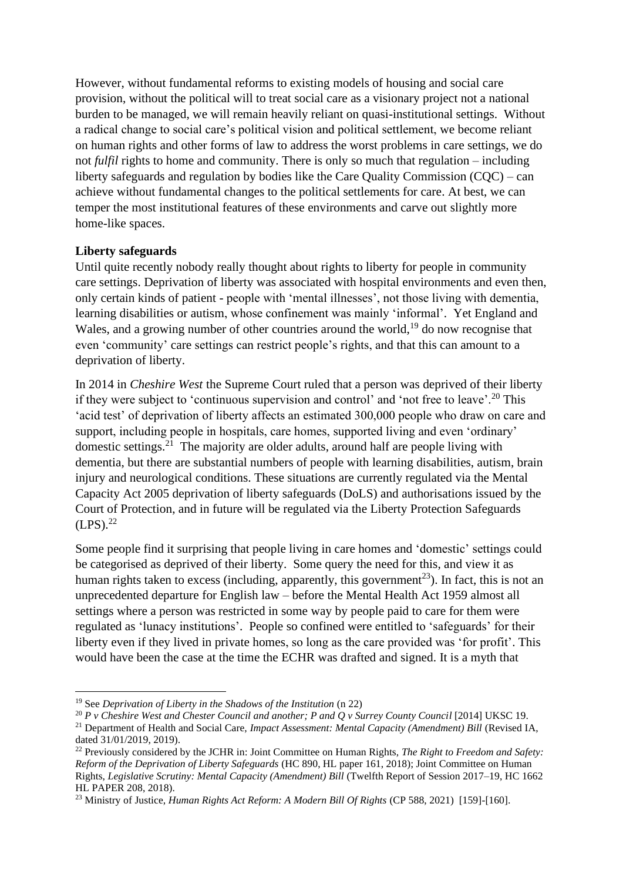However, without fundamental reforms to existing models of housing and social care provision, without the political will to treat social care as a visionary project not a national burden to be managed, we will remain heavily reliant on quasi-institutional settings. Without a radical change to social care's political vision and political settlement, we become reliant on human rights and other forms of law to address the worst problems in care settings, we do not *fulfil* rights to home and community. There is only so much that regulation – including liberty safeguards and regulation by bodies like the Care Quality Commission (CQC) – can achieve without fundamental changes to the political settlements for care. At best, we can temper the most institutional features of these environments and carve out slightly more home-like spaces.

#### **Liberty safeguards**

Until quite recently nobody really thought about rights to liberty for people in community care settings. Deprivation of liberty was associated with hospital environments and even then, only certain kinds of patient - people with 'mental illnesses', not those living with dementia, learning disabilities or autism, whose confinement was mainly 'informal'. Yet England and Wales, and a growing number of other countries around the world,<sup>19</sup> do now recognise that even 'community' care settings can restrict people's rights, and that this can amount to a deprivation of liberty.

In 2014 in *Cheshire West* the Supreme Court ruled that a person was deprived of their liberty if they were subject to 'continuous supervision and control' and 'not free to leave'.<sup>20</sup> This 'acid test' of deprivation of liberty affects an estimated 300,000 people who draw on care and support, including people in hospitals, care homes, supported living and even 'ordinary' domestic settings.<sup>21</sup> The majority are older adults, around half are people living with dementia, but there are substantial numbers of people with learning disabilities, autism, brain injury and neurological conditions. These situations are currently regulated via the Mental Capacity Act 2005 deprivation of liberty safeguards (DoLS) and authorisations issued by the Court of Protection, and in future will be regulated via the Liberty Protection Safeguards  $(LPS).^{22}$ 

Some people find it surprising that people living in care homes and 'domestic' settings could be categorised as deprived of their liberty. Some query the need for this, and view it as human rights taken to excess (including, apparently, this government<sup>23</sup>). In fact, this is not an unprecedented departure for English law – before the Mental Health Act 1959 almost all settings where a person was restricted in some way by people paid to care for them were regulated as 'lunacy institutions'. People so confined were entitled to 'safeguards' for their liberty even if they lived in private homes, so long as the care provided was 'for profit'. This would have been the case at the time the ECHR was drafted and signed. It is a myth that

<sup>19</sup> See *Deprivation of Liberty in the Shadows of the Institution* (n [22\)](#page-0-0)

<sup>&</sup>lt;sup>20</sup> P v Cheshire West and Chester Council and another; P and Q v Surrey County Council [2014] UKSC 19.

<sup>21</sup> Department of Health and Social Care, *Impact Assessment: Mental Capacity (Amendment) Bill* (Revised IA, dated 31/01/2019, 2019).

<sup>22</sup> Previously considered by the JCHR in: Joint Committee on Human Rights, *The Right to Freedom and Safety: Reform of the Deprivation of Liberty Safeguards* (HC 890, HL paper 161, 2018); Joint Committee on Human Rights, *Legislative Scrutiny: Mental Capacity (Amendment) Bill* (Twelfth Report of Session 2017–19, HC 1662 HL PAPER 208, 2018).

<sup>23</sup> Ministry of Justice, *Human Rights Act Reform: A Modern Bill Of Rights* (CP 588, 2021) [159]-[160].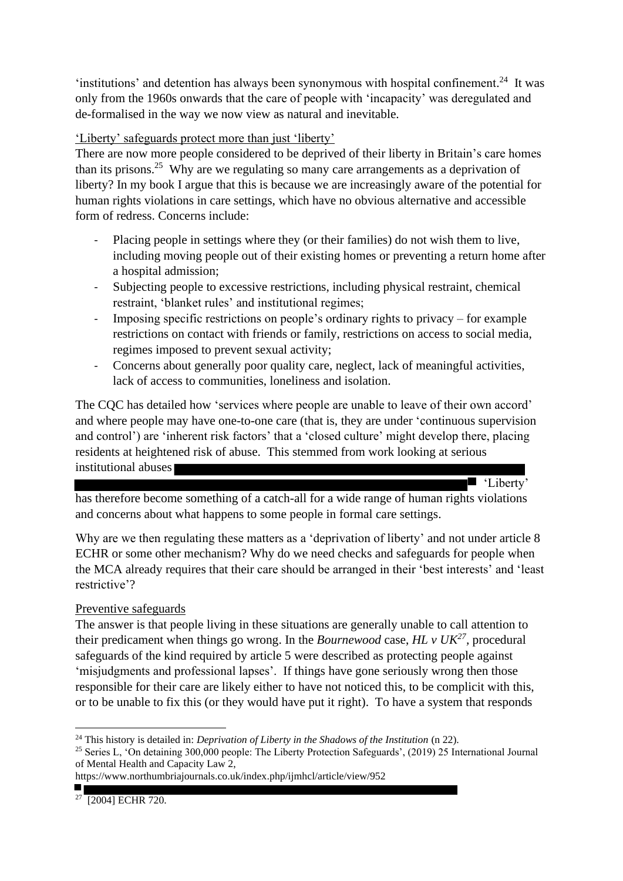'institutions' and detention has always been synonymous with hospital confinement.<sup>24</sup> It was only from the 1960s onwards that the care of people with 'incapacity' was deregulated and de-formalised in the way we now view as natural and inevitable.

'Liberty' safeguards protect more than just 'liberty'

There are now more people considered to be deprived of their liberty in Britain's care homes than its prisons.<sup>25</sup> Why are we regulating so many care arrangements as a deprivation of liberty? In my book I argue that this is because we are increasingly aware of the potential for human rights violations in care settings, which have no obvious alternative and accessible form of redress. Concerns include:

- Placing people in settings where they (or their families) do not wish them to live, including moving people out of their existing homes or preventing a return home after a hospital admission;
- Subjecting people to excessive restrictions, including physical restraint, chemical restraint, 'blanket rules' and institutional regimes;
- Imposing specific restrictions on people's ordinary rights to privacy for example restrictions on contact with friends or family, restrictions on access to social media, regimes imposed to prevent sexual activity;
- Concerns about generally poor quality care, neglect, lack of meaningful activities, lack of access to communities, loneliness and isolation.

The CQC has detailed how 'services where people are unable to leave of their own accord' and where people may have one-to-one care (that is, they are under 'continuous supervision and control') are 'inherent risk factors' that a 'closed culture' might develop there, placing residents at heightened risk of abuse. This stemmed from work looking at serious institutional abuses

■ 'Liberty'

has therefore become something of a catch-all for a wide range of human rights violations and concerns about what happens to some people in formal care settings.

Why are we then regulating these matters as a 'deprivation of liberty' and not under article 8 ECHR or some other mechanism? Why do we need checks and safeguards for people when the MCA already requires that their care should be arranged in their 'best interests' and 'least restrictive'?

# Preventive safeguards

The answer is that people living in these situations are generally unable to call attention to their predicament when things go wrong. In the *Bournewood* case, *HL v UK<sup>27</sup> ,* procedural safeguards of the kind required by article 5 were described as protecting people against 'misjudgments and professional lapses'. If things have gone seriously wrong then those responsible for their care are likely either to have not noticed this, to be complicit with this, or to be unable to fix this (or they would have put it right). To have a system that responds

<sup>24</sup> This history is detailed in: *Deprivation of Liberty in the Shadows of the Institution* (n [22\)](#page-0-0).

<sup>&</sup>lt;sup>25</sup> Series L, 'On detaining 300,000 people: The Liberty Protection Safeguards', (2019) 25 International Journal of Mental Health and Capacity Law 2,

https://www.northumbriajournals.co.uk/index.php/ijmhcl/article/view/952

<sup>&</sup>lt;sup>27</sup> [2004] ECHR 720.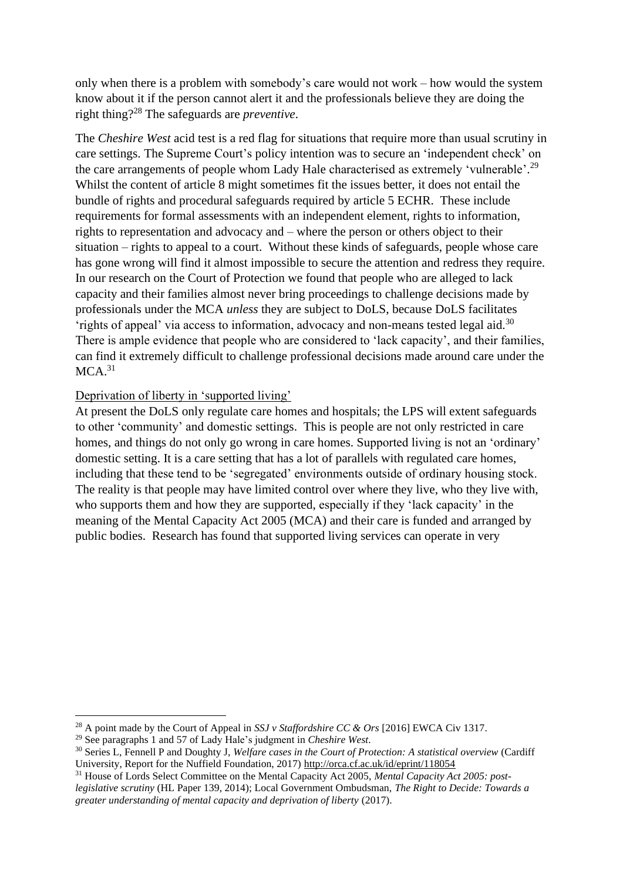only when there is a problem with somebody's care would not work – how would the system know about it if the person cannot alert it and the professionals believe they are doing the right thing? <sup>28</sup> The safeguards are *preventive*.

The *Cheshire West* acid test is a red flag for situations that require more than usual scrutiny in care settings. The Supreme Court's policy intention was to secure an 'independent check' on the care arrangements of people whom Lady Hale characterised as extremely 'vulnerable'.<sup>29</sup> Whilst the content of article 8 might sometimes fit the issues better, it does not entail the bundle of rights and procedural safeguards required by article 5 ECHR. These include requirements for formal assessments with an independent element, rights to information, rights to representation and advocacy and – where the person or others object to their situation – rights to appeal to a court. Without these kinds of safeguards, people whose care has gone wrong will find it almost impossible to secure the attention and redress they require. In our research on the Court of Protection we found that people who are alleged to lack capacity and their families almost never bring proceedings to challenge decisions made by professionals under the MCA *unless* they are subject to DoLS, because DoLS facilitates 'rights of appeal' via access to information, advocacy and non-means tested legal aid.<sup>30</sup> There is ample evidence that people who are considered to 'lack capacity', and their families, can find it extremely difficult to challenge professional decisions made around care under the  $MCA.<sup>31</sup>$ 

#### Deprivation of liberty in 'supported living'

At present the DoLS only regulate care homes and hospitals; the LPS will extent safeguards to other 'community' and domestic settings. This is people are not only restricted in care homes, and things do not only go wrong in care homes. Supported living is not an 'ordinary' domestic setting. It is a care setting that has a lot of parallels with regulated care homes, including that these tend to be 'segregated' environments outside of ordinary housing stock. The reality is that people may have limited control over where they live, who they live with, who supports them and how they are supported, especially if they 'lack capacity' in the meaning of the Mental Capacity Act 2005 (MCA) and their care is funded and arranged by public bodies. Research has found that supported living services can operate in very

<sup>&</sup>lt;sup>28</sup> A point made by the Court of Appeal in *SSJ v Staffordshire CC & Ors* [2016] EWCA Civ 1317.

<sup>29</sup> See paragraphs 1 and 57 of Lady Hale's judgment in *Cheshire West*.

<sup>30</sup> Series L, Fennell P and Doughty J, *Welfare cases in the Court of Protection: A statistical overview* (Cardiff University, Report for the Nuffield Foundation, 2017)<http://orca.cf.ac.uk/id/eprint/118054>

<sup>31</sup> House of Lords Select Committee on the Mental Capacity Act 2005, *Mental Capacity Act 2005: postlegislative scrutiny* (HL Paper 139, 2014); Local Government Ombudsman, *The Right to Decide: Towards a greater understanding of mental capacity and deprivation of liberty* (2017).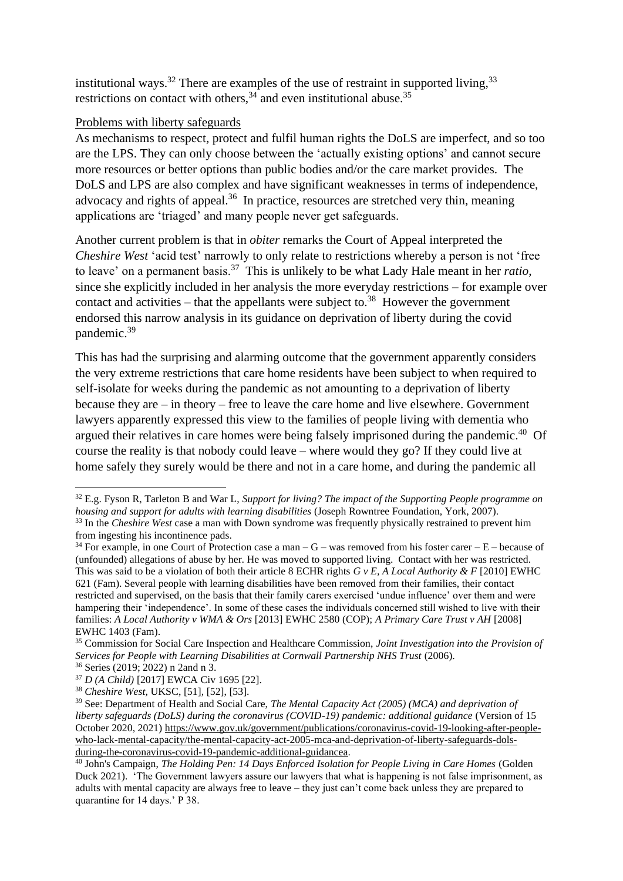institutional ways.<sup>32</sup> There are examples of the use of restraint in supported living,<sup>33</sup> restrictions on contact with others,  $34$  and even institutional abuse.<sup>35</sup>

### Problems with liberty safeguards

As mechanisms to respect, protect and fulfil human rights the DoLS are imperfect, and so too are the LPS. They can only choose between the 'actually existing options' and cannot secure more resources or better options than public bodies and/or the care market provides. The DoLS and LPS are also complex and have significant weaknesses in terms of independence, advocacy and rights of appeal.<sup>36</sup> In practice, resources are stretched very thin, meaning applications are 'triaged' and many people never get safeguards.

Another current problem is that in *obiter* remarks the Court of Appeal interpreted the *Cheshire West* 'acid test' narrowly to only relate to restrictions whereby a person is not 'free to leave' on a permanent basis.<sup>37</sup> This is unlikely to be what Lady Hale meant in her *ratio*, since she explicitly included in her analysis the more everyday restrictions – for example over contact and activities – that the appellants were subject to.<sup>38</sup> However the government endorsed this narrow analysis in its guidance on deprivation of liberty during the covid pandemic.<sup>39</sup>

This has had the surprising and alarming outcome that the government apparently considers the very extreme restrictions that care home residents have been subject to when required to self-isolate for weeks during the pandemic as not amounting to a deprivation of liberty because they are – in theory – free to leave the care home and live elsewhere. Government lawyers apparently expressed this view to the families of people living with dementia who argued their relatives in care homes were being falsely imprisoned during the pandemic.<sup>40</sup> Of course the reality is that nobody could leave – where would they go? If they could live at home safely they surely would be there and not in a care home, and during the pandemic all

<sup>32</sup> E.g. Fyson R, Tarleton B and War L, *Support for living? The impact of the Supporting People programme on housing and support for adults with learning disabilities* (Joseph Rowntree Foundation, York, 2007). <sup>33</sup> In the *Cheshire West* case a man with Down syndrome was frequently physically restrained to prevent him from ingesting his incontinence pads.

<sup>&</sup>lt;sup>34</sup> For example, in one Court of Protection case a man  $-G$  – was removed from his foster carer  $-E$  – because of (unfounded) allegations of abuse by her. He was moved to supported living. Contact with her was restricted. This was said to be a violation of both their article 8 ECHR rights *G v E, A Local Authority & F* [2010] EWHC 621 (Fam). Several people with learning disabilities have been removed from their families, their contact restricted and supervised, on the basis that their family carers exercised 'undue influence' over them and were hampering their 'independence'. In some of these cases the individuals concerned still wished to live with their families: *A Local Authority v WMA & Ors* [2013] EWHC 2580 (COP); *A Primary Care Trust v AH* [2008] EWHC 1403 (Fam).

<sup>35</sup> Commission for Social Care Inspection and Healthcare Commission, *Joint Investigation into the Provision of Services for People with Learning Disabilities at Cornwall Partnership NHS Trust* (2006).

<sup>36</sup> Series (2019; 2022) n [2a](#page-0-0)nd n [3.](#page-0-1)

<sup>37</sup> *D (A Child)* [2017] EWCA Civ 1695 [22].

<sup>38</sup> *Cheshire West*, UKSC, [51], [52], [53].

<sup>39</sup> See: Department of Health and Social Care, *The Mental Capacity Act (2005) (MCA) and deprivation of liberty safeguards (DoLS) during the coronavirus (COVID-19) pandemic: additional guidance* (Version of 15 October 2020, 2021[\) https://www.gov.uk/government/publications/coronavirus-covid-19-looking-after-people](https://www.gov.uk/government/publications/coronavirus-covid-19-looking-after-people-who-lack-mental-capacity/the-mental-capacity-act-2005-mca-and-deprivation-of-liberty-safeguards-dols-during-the-coronavirus-covid-19-pandemic-additional-guidancea)[who-lack-mental-capacity/the-mental-capacity-act-2005-mca-and-deprivation-of-liberty-safeguards-dols](https://www.gov.uk/government/publications/coronavirus-covid-19-looking-after-people-who-lack-mental-capacity/the-mental-capacity-act-2005-mca-and-deprivation-of-liberty-safeguards-dols-during-the-coronavirus-covid-19-pandemic-additional-guidancea)[during-the-coronavirus-covid-19-pandemic-additional-guidancea.](https://www.gov.uk/government/publications/coronavirus-covid-19-looking-after-people-who-lack-mental-capacity/the-mental-capacity-act-2005-mca-and-deprivation-of-liberty-safeguards-dols-during-the-coronavirus-covid-19-pandemic-additional-guidancea)

<sup>40</sup> John's Campaign, *The Holding Pen: 14 Days Enforced Isolation for People Living in Care Homes* (Golden Duck 2021). 'The Government lawyers assure our lawyers that what is happening is not false imprisonment, as adults with mental capacity are always free to leave – they just can't come back unless they are prepared to quarantine for 14 days.' P 38.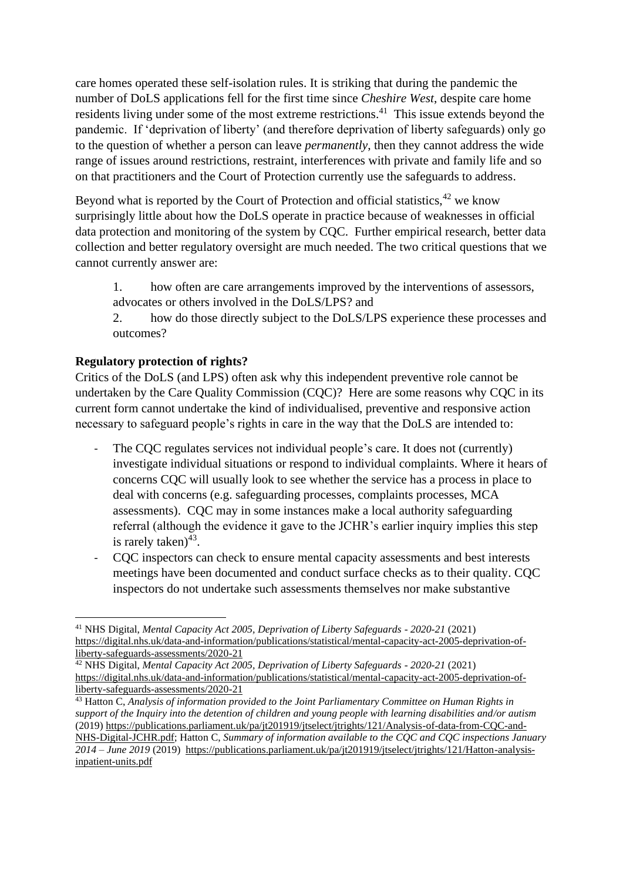care homes operated these self-isolation rules. It is striking that during the pandemic the number of DoLS applications fell for the first time since *Cheshire West*, despite care home residents living under some of the most extreme restrictions.<sup>41</sup> This issue extends beyond the pandemic. If 'deprivation of liberty' (and therefore deprivation of liberty safeguards) only go to the question of whether a person can leave *permanently*, then they cannot address the wide range of issues around restrictions, restraint, interferences with private and family life and so on that practitioners and the Court of Protection currently use the safeguards to address.

Beyond what is reported by the Court of Protection and official statistics,<sup>42</sup> we know surprisingly little about how the DoLS operate in practice because of weaknesses in official data protection and monitoring of the system by CQC. Further empirical research, better data collection and better regulatory oversight are much needed. The two critical questions that we cannot currently answer are:

1. how often are care arrangements improved by the interventions of assessors, advocates or others involved in the DoLS/LPS? and

2. how do those directly subject to the DoLS/LPS experience these processes and outcomes?

## **Regulatory protection of rights?**

Critics of the DoLS (and LPS) often ask why this independent preventive role cannot be undertaken by the Care Quality Commission (CQC)? Here are some reasons why CQC in its current form cannot undertake the kind of individualised, preventive and responsive action necessary to safeguard people's rights in care in the way that the DoLS are intended to:

- The CQC regulates services not individual people's care. It does not (currently) investigate individual situations or respond to individual complaints. Where it hears of concerns CQC will usually look to see whether the service has a process in place to deal with concerns (e.g. safeguarding processes, complaints processes, MCA assessments). CQC may in some instances make a local authority safeguarding referral (although the evidence it gave to the JCHR's earlier inquiry implies this step is rarely taken) $43$ .
- CQC inspectors can check to ensure mental capacity assessments and best interests meetings have been documented and conduct surface checks as to their quality. CQC inspectors do not undertake such assessments themselves nor make substantive

<sup>41</sup> NHS Digital, *Mental Capacity Act 2005, Deprivation of Liberty Safeguards - 2020-21* (2021) [https://digital.nhs.uk/data-and-information/publications/statistical/mental-capacity-act-2005-deprivation-of](https://digital.nhs.uk/data-and-information/publications/statistical/mental-capacity-act-2005-deprivation-of-liberty-safeguards-assessments/2020-21)[liberty-safeguards-assessments/2020-21](https://digital.nhs.uk/data-and-information/publications/statistical/mental-capacity-act-2005-deprivation-of-liberty-safeguards-assessments/2020-21)

<sup>42</sup> NHS Digital, *Mental Capacity Act 2005, Deprivation of Liberty Safeguards - 2020-21* (2021) [https://digital.nhs.uk/data-and-information/publications/statistical/mental-capacity-act-2005-deprivation-of](https://digital.nhs.uk/data-and-information/publications/statistical/mental-capacity-act-2005-deprivation-of-liberty-safeguards-assessments/2020-21)[liberty-safeguards-assessments/2020-21](https://digital.nhs.uk/data-and-information/publications/statistical/mental-capacity-act-2005-deprivation-of-liberty-safeguards-assessments/2020-21)

<sup>43</sup> Hatton C, *Analysis of information provided to the Joint Parliamentary Committee on Human Rights in support of the Inquiry into the detention of children and young people with learning disabilities and/or autism* (2019) [https://publications.parliament.uk/pa/jt201919/jtselect/jtrights/121/Analysis-of-data-from-CQC-and-](https://publications.parliament.uk/pa/jt201919/jtselect/jtrights/121/Analysis-of-data-from-CQC-and-NHS-Digital-JCHR.pdf)[NHS-Digital-JCHR.pdf;](https://publications.parliament.uk/pa/jt201919/jtselect/jtrights/121/Analysis-of-data-from-CQC-and-NHS-Digital-JCHR.pdf) Hatton C, *Summary of information available to the CQC and CQC inspections January 2014 – June 2019* (2019) [https://publications.parliament.uk/pa/jt201919/jtselect/jtrights/121/Hatton-analysis](https://publications.parliament.uk/pa/jt201919/jtselect/jtrights/121/Hatton-analysis-inpatient-units.pdf)[inpatient-units.pdf](https://publications.parliament.uk/pa/jt201919/jtselect/jtrights/121/Hatton-analysis-inpatient-units.pdf)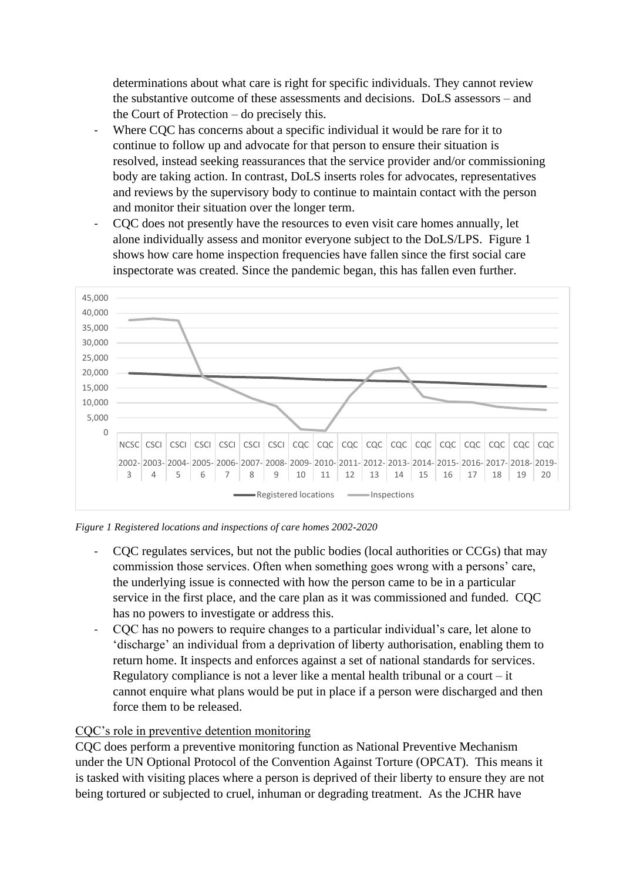determinations about what care is right for specific individuals. They cannot review the substantive outcome of these assessments and decisions. DoLS assessors – and the Court of Protection – do precisely this.

- Where CQC has concerns about a specific individual it would be rare for it to continue to follow up and advocate for that person to ensure their situation is resolved, instead seeking reassurances that the service provider and/or commissioning body are taking action. In contrast, DoLS inserts roles for advocates, representatives and reviews by the supervisory body to continue to maintain contact with the person and monitor their situation over the longer term.
- CQC does not presently have the resources to even visit care homes annually, let alone individually assess and monitor everyone subject to the DoLS/LPS. [Figure 1](#page-8-0) shows how care home inspection frequencies have fallen since the first social care inspectorate was created. Since the pandemic began, this has fallen even further.



<span id="page-8-0"></span>

- CQC regulates services, but not the public bodies (local authorities or CCGs) that may commission those services. Often when something goes wrong with a persons' care, the underlying issue is connected with how the person came to be in a particular service in the first place, and the care plan as it was commissioned and funded. CQC has no powers to investigate or address this.
- CQC has no powers to require changes to a particular individual's care, let alone to 'discharge' an individual from a deprivation of liberty authorisation, enabling them to return home. It inspects and enforces against a set of national standards for services. Regulatory compliance is not a lever like a mental health tribunal or a court – it cannot enquire what plans would be put in place if a person were discharged and then force them to be released.

# CQC's role in preventive detention monitoring

CQC does perform a preventive monitoring function as National Preventive Mechanism under the UN Optional Protocol of the Convention Against Torture (OPCAT). This means it is tasked with visiting places where a person is deprived of their liberty to ensure they are not being tortured or subjected to cruel, inhuman or degrading treatment. As the JCHR have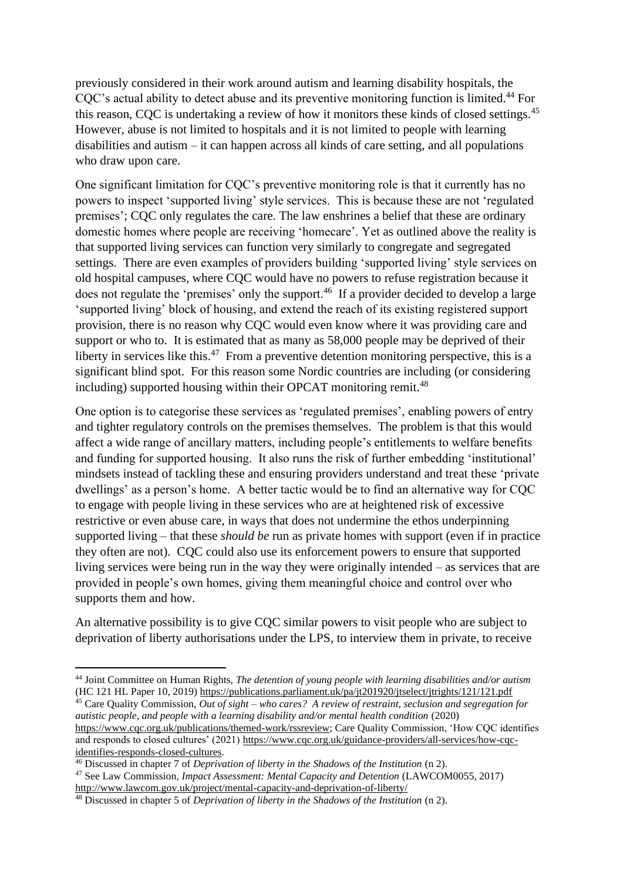previously considered in their work around autism and learning disability hospitals, the CQC's actual ability to detect abuse and its preventive monitoring function is limited.<sup>44</sup> For this reason, CQC is undertaking a review of how it monitors these kinds of closed settings.<sup>45</sup> However, abuse is not limited to hospitals and it is not limited to people with learning disabilities and autism – it can happen across all kinds of care setting, and all populations who draw upon care.

One significant limitation for CQC's preventive monitoring role is that it currently has no powers to inspect 'supported living' style services. This is because these are not 'regulated premises'; CQC only regulates the care. The law enshrines a belief that these are ordinary domestic homes where people are receiving 'homecare'. Yet as outlined above the reality is that supported living services can function very similarly to congregate and segregated settings. There are even examples of providers building 'supported living' style services on old hospital campuses, where CQC would have no powers to refuse registration because it does not regulate the 'premises' only the support.<sup>46</sup> If a provider decided to develop a large 'supported living' block of housing, and extend the reach of its existing registered support provision, there is no reason why CQC would even know where it was providing care and support or who to. It is estimated that as many as 58,000 people may be deprived of their liberty in services like this.<sup>47</sup> From a preventive detention monitoring perspective, this is a significant blind spot. For this reason some Nordic countries are including (or considering including) supported housing within their OPCAT monitoring remit.<sup>48</sup>

One option is to categorise these services as 'regulated premises', enabling powers of entry and tighter regulatory controls on the premises themselves. The problem is that this would affect a wide range of ancillary matters, including people's entitlements to welfare benefits and funding for supported housing. It also runs the risk of further embedding 'institutional' mindsets instead of tackling these and ensuring providers understand and treat these 'private dwellings' as a person's home. A better tactic would be to find an alternative way for COC to engage with people living in these services who are at heightened risk of excessive restrictive or even abuse care, in ways that does not undermine the ethos underpinning supported living – that these *should be* run as private homes with support (even if in practice they often are not). CQC could also use its enforcement powers to ensure that supported living services were being run in the way they were originally intended – as services that are provided in people's own homes, giving them meaningful choice and control over who supports them and how.

An alternative possibility is to give CQC similar powers to visit people who are subject to deprivation of liberty authorisations under the LPS, to interview them in private, to receive

<sup>44</sup> Joint Committee on Human Rights, *The detention of young people with learning disabilities and/or autism* (HC 121 HL Paper 10, 2019)<https://publications.parliament.uk/pa/jt201920/jtselect/jtrights/121/121.pdf> <sup>45</sup> Care Quality Commission, *Out of sight – who cares? A review of restraint, seclusion and segregation for autistic people, and people with a learning disability and/or mental health condition* (2020) [https://www.cqc.org.uk/publications/themed-work/rssreview;](https://www.cqc.org.uk/publications/themed-work/rssreview) Care Quality Commission, 'How CQC identifies and responds to closed cultures' (2021) [https://www.cqc.org.uk/guidance-providers/all-services/how-cqc](https://www.cqc.org.uk/guidance-providers/all-services/how-cqc-identifies-responds-closed-cultures)[identifies-responds-closed-cultures.](https://www.cqc.org.uk/guidance-providers/all-services/how-cqc-identifies-responds-closed-cultures)

<sup>46</sup> Discussed in chapter 7 of *Deprivation of liberty in the Shadows of the Institution* (n [2\)](#page-0-0).

<sup>47</sup> See Law Commission, *Impact Assessment: Mental Capacity and Detention* (LAWCOM0055, 2017) <http://www.lawcom.gov.uk/project/mental-capacity-and-deprivation-of-liberty/>

<sup>&</sup>lt;sup>48</sup> Discussed in chapter 5 of *Deprivation of liberty in the Shadows of the Institution* (n [2\)](#page-0-0).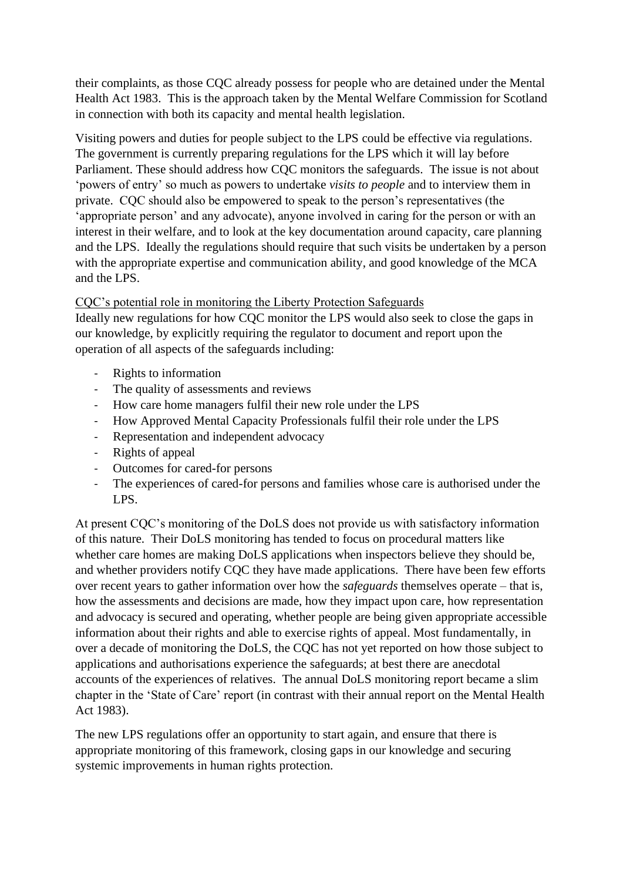their complaints, as those CQC already possess for people who are detained under the Mental Health Act 1983. This is the approach taken by the Mental Welfare Commission for Scotland in connection with both its capacity and mental health legislation.

Visiting powers and duties for people subject to the LPS could be effective via regulations. The government is currently preparing regulations for the LPS which it will lay before Parliament. These should address how CQC monitors the safeguards. The issue is not about 'powers of entry' so much as powers to undertake *visits to people* and to interview them in private. CQC should also be empowered to speak to the person's representatives (the 'appropriate person' and any advocate), anyone involved in caring for the person or with an interest in their welfare, and to look at the key documentation around capacity, care planning and the LPS. Ideally the regulations should require that such visits be undertaken by a person with the appropriate expertise and communication ability, and good knowledge of the MCA and the LPS.

### CQC's potential role in monitoring the Liberty Protection Safeguards

Ideally new regulations for how CQC monitor the LPS would also seek to close the gaps in our knowledge, by explicitly requiring the regulator to document and report upon the operation of all aspects of the safeguards including:

- Rights to information
- The quality of assessments and reviews
- How care home managers fulfil their new role under the LPS
- How Approved Mental Capacity Professionals fulfil their role under the LPS
- Representation and independent advocacy
- Rights of appeal
- Outcomes for cared-for persons
- The experiences of cared-for persons and families whose care is authorised under the LPS.

At present CQC's monitoring of the DoLS does not provide us with satisfactory information of this nature. Their DoLS monitoring has tended to focus on procedural matters like whether care homes are making DoLS applications when inspectors believe they should be, and whether providers notify CQC they have made applications. There have been few efforts over recent years to gather information over how the *safeguards* themselves operate – that is, how the assessments and decisions are made, how they impact upon care, how representation and advocacy is secured and operating, whether people are being given appropriate accessible information about their rights and able to exercise rights of appeal. Most fundamentally, in over a decade of monitoring the DoLS, the CQC has not yet reported on how those subject to applications and authorisations experience the safeguards; at best there are anecdotal accounts of the experiences of relatives. The annual DoLS monitoring report became a slim chapter in the 'State of Care' report (in contrast with their annual report on the Mental Health Act 1983).

The new LPS regulations offer an opportunity to start again, and ensure that there is appropriate monitoring of this framework, closing gaps in our knowledge and securing systemic improvements in human rights protection.